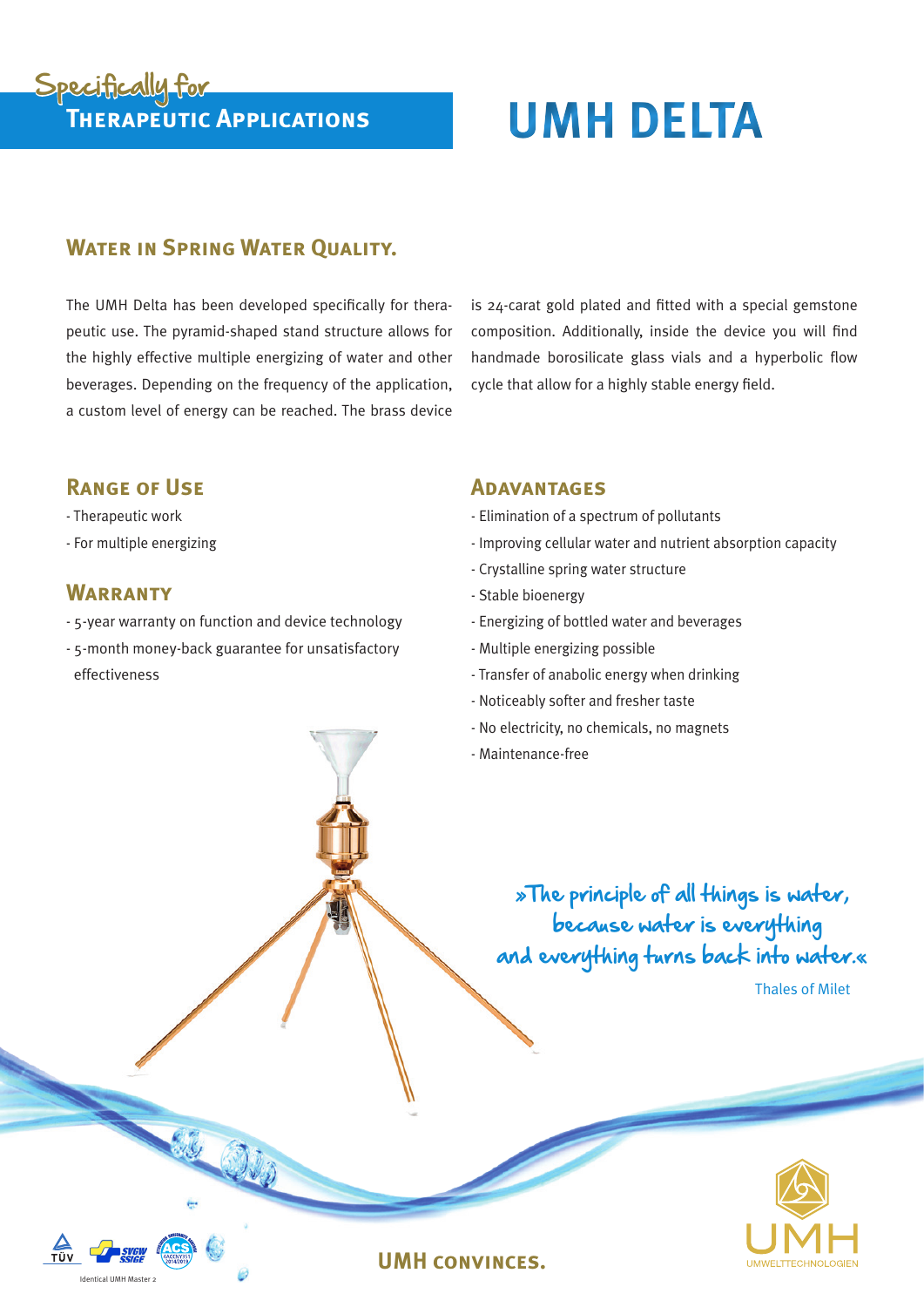# Specifically for<br>
THERAPEUTIC APPLICATIONS

# **WATER IN SPRING WATER OUALITY.**

The UMH Delta has been developed specifically for therapeutic use. The pyramid-shaped stand structure allows for the highly effective multiple energizing of water and other beverages. Depending on the frequency of the application, a custom level of energy can be reached. The brass device

is 24-carat gold plated and fitted with a special gemstone composition. Additionally, inside the device you will find handmade borosilicate glass vials and a hyperbolic flow cycle that allow for a highly stable energy field.

### **Range of Use**

- Therapeutic work
- For multiple energizing

## **WARRANTY**

Identical UMH Master 2

- 5-year warranty on function and device technology
- 5-month money-back guarantee for unsatisfactory effectiveness

#### **Adavantages**

- Elimination of a spectrum of pollutants
- Improving cellular water and nutrient absorption capacity
- Crystalline spring water structure
- Stable bioenergy
- Energizing of bottled water and beverages
- Multiple energizing possible
- Transfer of anabolic energy when drinking
- Noticeably softer and fresher taste
- No electricity, no chemicals, no magnets
- Maintenance-free

 »The principle of all things is water, because water is everything and everything turns back into water.«

Thales of Milet



#### **UMH convinces.**